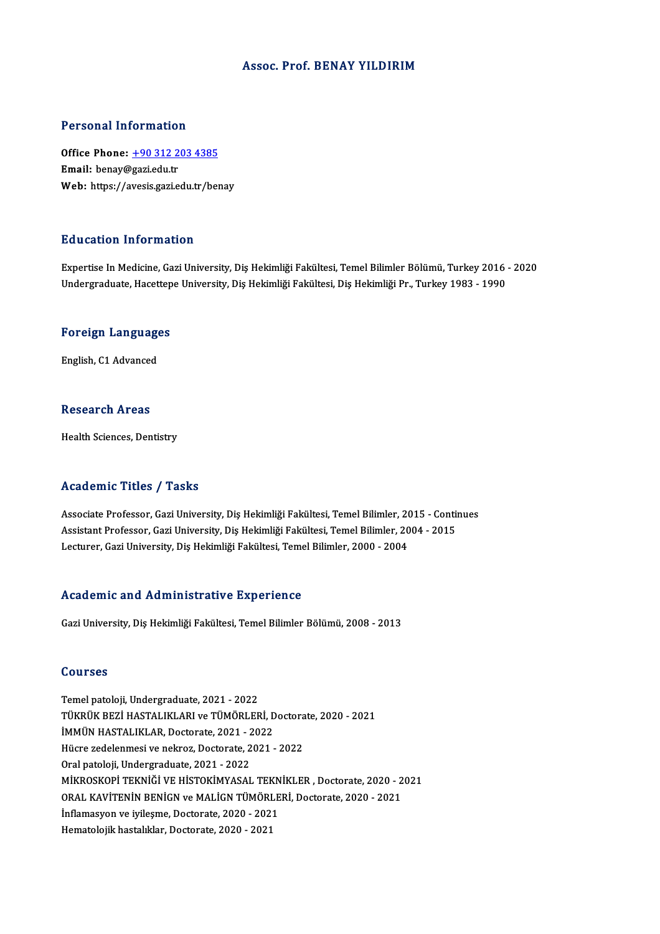### Assoc. Prof. BENAY YILDIRIM

### Personal Information

Personal Information<br>Office Phone: <u>+90 312 203 4385</u><br>Email: benau@sariedu.tr office Phone: <u>+90 312 2</u><br>Email: benay@gazi.edu.tr<br>Web: https://avesis.gazi.e Email: benay@gazi.edu.tr<br>Web: https://a[vesis.gazi.edu.tr/be](tel:+90 312 203 4385)nay

### Education Information

Expertise In Medicine, Gazi University, Diş Hekimliği Fakültesi, Temel Bilimler Bölümü, Turkey 2016 - 2020 Undergraduate, Hacettepe University, Diş Hekimliği Fakültesi, Diş Hekimliği Pr., Turkey 1983 - 1990

# <sub>ondergraduate, nacettep</sub><br>Foreign Languages <mark>Foreign Languag</mark>e<br>English, C1 Advanced

English, C1 Advanced<br>Research Areas

Health Sciences, Dentistry

### Academic Titles / Tasks

Associate Professor, Gazi University, Diş Hekimliği Fakültesi, Temel Bilimler, 2015 - Continues Associate Professor, Gazi University, Diş Hekimliği Fakültesi, Temel Bilimler, 2015 - Contin<br>Assistant Professor, Gazi University, Diş Hekimliği Fakültesi, Temel Bilimler, 2004 - 2015<br>Lecturer, Gazi University, Diş Hekimli Associate Professor, Gazi University, Diş Hekimliği Fakültesi, Temel Bilimler, 20<br>Assistant Professor, Gazi University, Diş Hekimliği Fakültesi, Temel Bilimler, 20<br>Lecturer, Gazi University, Diş Hekimliği Fakültesi, Temel Lecturer, Gazi University, Diş Hekimliği Fakültesi, Temel Bilimler, 2000 - 2004<br>Academic and Administrative Experience

Gazi University, Diş Hekimliği Fakültesi, Temel Bilimler Bölümü, 2008 - 2013

### Courses

Temel patoloji, Undergraduate, 2021 - 2022 SSQTBSB<br>Temel patoloji, Undergraduate, 2021 - 2022<br>TÜKRÜK BEZİ HASTALIKLARI ve TÜMÖRLERİ, Doctorate, 2020 - 2021<br>İMMÜN HASTALIKLAR, Dostarate, 2021, 2022 Temel patoloji, Undergraduate, 2021 - 2022<br>TÜKRÜK BEZİ HASTALIKLARI ve TÜMÖRLERİ, D<br>İMMÜN HASTALIKLAR, Doctorate, 2021 - 2022<br>Hügre redelenmesi ve nelirez, Doctorate, 2021 TÜKRÜK BEZİ HASTALIKLARI ve TÜMÖRLERİ, Doctora<br>İMMÜN HASTALIKLAR, Doctorate, 2021 - 2022<br>Hücre zedelenmesi ve nekroz, Doctorate, 2021 - 2022<br>Oral patalaji Undergraduata, 2021 - 2022 İMMÜN HASTALIKLAR, Doctorate, 2021 - 2022<br>Hücre zedelenmesi ve nekroz, Doctorate, 2021 - 2022<br>Oral patoloji, Undergraduate, 2021 - 2022 Hücre zedelenmesi ve nekroz, Doctorate, 2021 - 2022<br>Oral patoloji, Undergraduate, 2021 - 2022<br>MİKROSKOPİ TEKNİĞİ VE HİSTOKİMYASAL TEKNİKLER , Doctorate, 2020 - 2021<br>ORAL KAVİTENİN PENİCN ve MALİCN TÜMÖRLERİ, Doctorate, 202 Oral patoloji, Undergraduate, 2021 - 2022<br>MİKROSKOPİ TEKNİĞİ VE HİSTOKİMYASAL TEKNİKLER , Doctorate, 2020 - 2<br>ORAL KAVİTENİN BENİGN ve MALİGN TÜMÖRLERİ, Doctorate, 2020 - 2021<br>İnflamasyon ve ivilesme, Destanate, 2020, 2021 MİKROSKOPİ TEKNIĞİ VE HİSTOKİMYASAL TEKN<br>ORAL KAVİTENİN BENİGN ve MALİGN TÜMÖRLE<br>İnflamasyon ve iyileşme, Doctorate, 2020 - 2021<br>Hamatalajik bastalıklar, Doctorate, 2020 - 2021 ORAL KAVİTENİN BENİGN ve MALİGN TÜMÖRLERİ, Doctorate, 2020 - 2021<br>İnflamasyon ve iyileşme, Doctorate, 2020 - 2021<br>Hematolojik hastalıklar, Doctorate, 2020 - 2021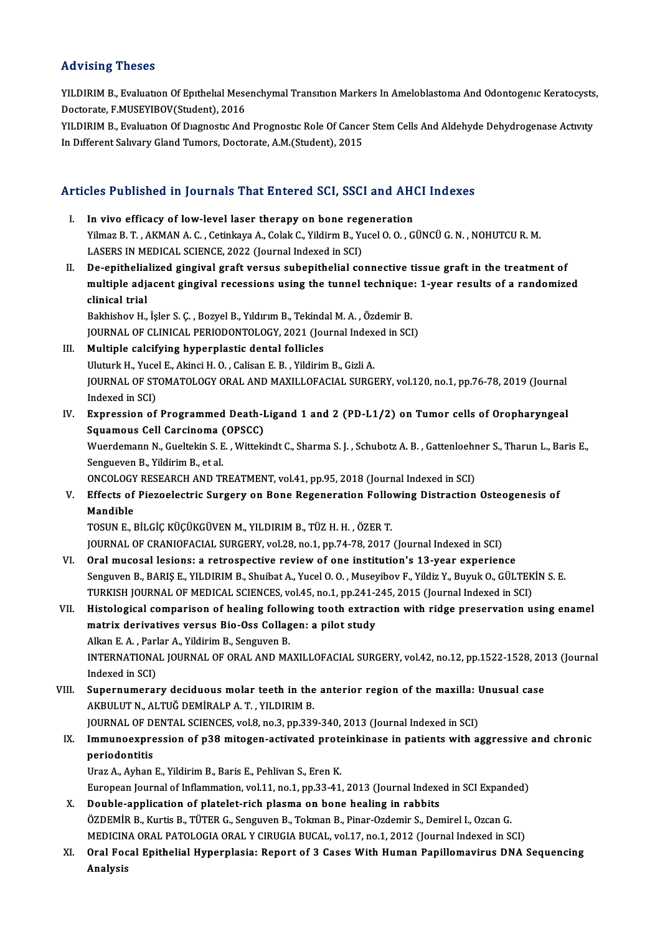### Advising Theses

Advising Theses<br>YILDIRIM B., Evaluatıon Of Epıthelıal Mesenchymal Transıtıon Markers In Ameloblastoma And Odontogenıc Keratocysts,<br>Destarata E MUSEVIROV(Student), 2016 THE PIERCE<br>THE STATE BRITTEN STATE STATE STATE DECEMBER 1996<br>Doctorate, F.MUSEYIBOV(Student), 2016<br>VILDIBIM B. Evaluation Of Diagnestic And YILDIRIM B., Evaluation Of Epithelial Mesenchymal Transition Markers In Ameloblastoma And Odontogenic Keratocysts<br>Doctorate, F.MUSEYIBOV(Student), 2016<br>YILDIRIM B., Evaluation Of Diagnostic And Prognostic Role Of Cancer St

Doctorate, F.MUSEYIBOV(Student), 2016<br>YILDIRIM B., Evaluation Of Diagnostic And Prognostic Role Of Cance<br>In Different Salivary Gland Tumors, Doctorate, A.M.(Student), 2015

# In Different Salivary Gland Tumors, Doctorate, A.M.(Student), 2015<br>Articles Published in Journals That Entered SCI, SSCI and AHCI Indexes

- rticles Published in Journals That Entered SCI, SSCI and AHO<br>I. In vivo efficacy of low-level laser therapy on bone regeneration<br>Vilmag B.T. AKMANA G. Cetinkaya A. Celak C. Vildirm B. Vycel 0.0, G. Yilmaz B. T. , AKMAN A. C. , Cetinkaya A., Colak C., Yildirm B., Yucel O. O. , GÜNCÜ G. N. , NOHUTCU R. M.<br>LASERS IN MEDICAL SCIENCE, 2022 (Journal Indexed in SCI) I. In vivo efficacy of low-level laser therapy on bone regeneration II. De-epithelialized gingival graft versus subepithelial connective tissue graft in the treatment of LASERS IN MEDICAL SCIENCE, 2022 (Journal Indexed in SCI)<br>De-epithelialized gingival graft versus subepithelial connective tissue graft in the treatment of<br>multiple adjacent gingival recessions using the tunnel technique: 1 De-epithelia<br>multiple adj<sub>i</sub><br>clinical trial<br><sup>Polshishov H</sup> multiple adjacent gingival recessions using the tunnel technique<br>clinical trial<br>Bakhishov H., İşler S.Ç. , Bozyel B., Yıldırım B., Tekindal M. A. , Özdemir B.<br>JOUPMAL OF GLINICAL PERJODONTOLOGY 2021 (Journal Indoved in SGL clinical trial<br>Bakhishov H., İşler S. Ç. , Bozyel B., Yıldırım B., Tekindal M. A. , Özdemir B.<br>JOURNAL OF CLINICAL PERIODONTOLOGY, 2021 (Journal Indexed in SCI)<br>Multiple salsifying bunernlastis dantal fallisles Bakhishov H., İşler S. Ç., Bozyel B., Yıldırım B., Tekindi<br>JOURNAL OF CLINICAL PERIODONTOLOGY, 2021 (Journal II.<br>III. Multiple calcifying hyperplastic dental follicles JOURNAL OF CLINICAL PERIODONTOLOGY, 2021 (Journal Indexed in SCI)<br>III. Multiple calcifying hyperplastic dental follicles<br>Uluturk H., Yucel E., Akinci H. O., Calisan E. B., Yildirim B., Gizli A. Multiple calcifying hyperplastic dental follicles<br>Uluturk H., Yucel E., Akinci H. O. , Calisan E. B. , Yildirim B., Gizli A.<br>JOURNAL OF STOMATOLOGY ORAL AND MAXILLOFACIAL SURGERY, vol.120, no.1, pp.76-78, 2019 (Journal<br>Ind Uluturk H., Yuce<br>JOURNAL OF ST<br>Indexed in SCI)<br>Eunnossion of JOURNAL OF STOMATOLOGY ORAL AND MAXILLOFACIAL SURGERY, vol.120, no.1, pp.76-78, 2019 (Journal<br>Indexed in SCI)<br>IV. Expression of Programmed Death-Ligand 1 and 2 (PD-L1/2) on Tumor cells of Oropharyngeal<br>Sausmaus Cell Consin Indexed in SCI)<br>IV. Expression of Programmed Death-Ligand 1 and 2 (PD-L1/2) on Tumor cells of Oropharyngeal<br>Squamous Cell Carcinoma (OPSCC) Expression of Programmed Death-Ligand 1 and 2 (PD-L1/2) on Tumor cells of Oropharyngeal<br>Squamous Cell Carcinoma (OPSCC)<br>Wuerdemann N., Gueltekin S. E. , Wittekindt C., Sharma S. J. , Schubotz A. B. , Gattenloehner S., Thar Squamous Cell Carcinoma<br>Wuerdemann N., Gueltekin S. E<br>Sengueven B., Yildirim B., et al.<br>ONCOLOCY PESEARCH AND TI Wuerdemann N., Gueltekin S. E. , Wittekindt C., Sharma S. J. , Schubotz A. B. , Gattenloehr<br>Sengueven B., Yildirim B., et al.<br>ONCOLOGY RESEARCH AND TREATMENT, vol.41, pp.95, 2018 (Journal Indexed in SCI)<br>Effects of Bisgool Sengueven B., Yildirim B., et al.<br>
ONCOLOGY RESEARCH AND TREATMENT, vol.41, pp.95, 2018 (Journal Indexed in SCI)<br>
V. Effects of Piezoelectric Surgery on Bone Regeneration Following Distraction Osteogenesis of<br>
Mandible ONCOLOGY RESEARCH AND TREATMENT, vol.41, pp.95, 2018 (Journal Indexed in SCI) TOSUNE.,BİLGİÇKÜÇÜKGÜVENM.,YILDIRIMB.,TÜZH.H. ,ÖZERT. JOURNAL OF CRANIOFACIAL SURGERY, vol.28, no.1, pp.74-78, 2017 (Journal Indexed in SCI) VI. Oralmucosal lesions: a retrospective reviewof one institution's 13-year experience JOURNAL OF CRANIOFACIAL SURGERY, vol.28, no.1, pp.74-78, 2017 (Journal Indexed in SCI)<br>Oral mucosal lesions: a retrospective review of one institution's 13-year experience<br>Senguven B., BARIŞ E., YILDIRIM B., Shuibat A., Yu Oral mucosal lesions: a retrospective review of one institution's 13-year experience<br>Senguven B., BARIŞ E., YILDIRIM B., Shuibat A., Yucel O. O. , Museyibov F., Yildiz Y., Buyuk O., GÜLTEK<br>TURKISH JOURNAL OF MEDICAL SCIENC VII. Histological comparison of healing following tooth extraction with ridge preservation using enamel TURKISH JOURNAL OF MEDICAL SCIENCES, vol.45, no.1, pp.241-245, 2015 (Journal Indexed in SCI) matrix derivatives versus Bio-Oss Collagen: a pilot study INTERNATIONAL JOURNAL OF ORAL AND MAXILLOFACIAL SURGERY, vol.42, no.12, pp.1522-1528, 2013 (Journal Indexed in SCI) Alkan E.A., Parlar A., Yildirim B., Senguven B. VIII. Supernumerary deciduous molar teeth in the anterior region of the maxilla: Unusual case AKBULUT N., ALTUĞ DEMİRALP A.T., YILDIRIM B. Supernumerary deciduous molar teeth in the anterior region of the maxilla: l<br>AKBULUT N., ALTUĞ DEMİRALP A. T. , YILDIRIM B.<br>JOURNAL OF DENTAL SCIENCES, vol.8, no.3, pp.339-340, 2013 (Journal Indexed in SCI)<br>Immune aunuscai AKBULUT N., ALTUĞ DEMİRALP A. T. , YILDIRIM B.<br>JOURNAL OF DENTAL SCIENCES, vol.8, no.3, pp.339-340, 2013 (Journal Indexed in SCI)<br>IX. Immunoexpression of p38 mitogen-activated proteinkinase in patients with aggressive **JOURNAL OF D**<br>I<mark>mmunoexpre</mark><br>periodontitis<br><sup>Hroz A</sup> Ayban Immunoexpression of p38 mitogen-activated prote<br>periodontitis<br>Uraz A., Ayhan E., Yildirim B., Baris E., Pehlivan S., Eren K.<br>European Journal of Inflammation vol 11 no 1 nn 33 41 periodontitis<br>Uraz A., Ayhan E., Yildirim B., Baris E., Pehlivan S., Eren K.<br>European Journal of Inflammation, vol.11, no.1, pp.33-41, 2013 (Journal Indexed in SCI Expanded) X. Double-application of platelet-rich plasma on bone healing in rabbits European Journal of Inflammation, vol.11, no.1, pp.33-41, 2013 (Journal Indexed in SCI Expand<br>Double-application of platelet-rich plasma on bone healing in rabbits<br>ÖZDEMİR B., Kurtis B., TÜTER G., Senguven B., Tokman B., P Double-application of platelet-rich plasma on bone healing in rabbits<br>ÖZDEMİR B., Kurtis B., TÜTER G., Senguven B., Tokman B., Pinar-Ozdemir S., Demirel I., Ozcan G.<br>MEDICINA ORAL PATOLOGIA ORAL Y CIRUGIA BUCAL, vol.17, no MEDICINA ORAL PATOLOGIA ORAL Y CIRUGIA BUCAL, vol.17, no.1, 2012 (Journal Indexed in SCI)
	- XI. Oral Focal Epithelial Hyperplasia: Report of 3 Cases With Human Papillomavirus DNA Sequencing<br>Analysis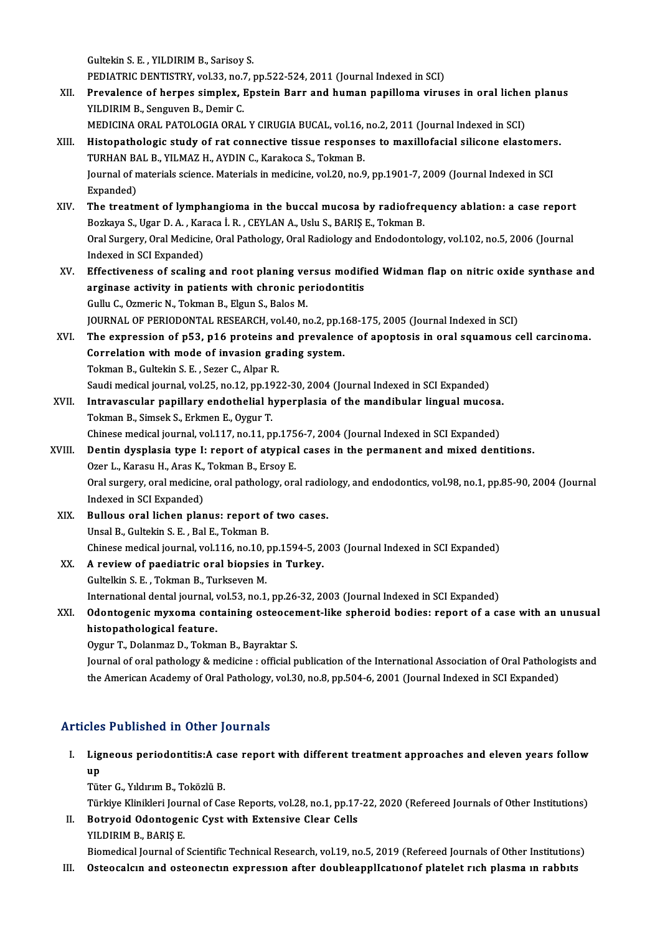GultekinS.E. ,YILDIRIMB.,Sarisoy S.

Gultekin S. E. , YILDIRIM B., Sarisoy S.<br>PEDIATRIC DENTISTRY, vol.33, no.7, pp.522-524, 2011 (Journal Indexed in SCI)<br>Prevelance of bornes simpley, Enstain Born and buman papillome vinus

XII. Prevalence of herpes simplex, Epstein Barr and human papilloma viruses in oral lichen planus<br>YILDIRIM B., Senguven B., Demir C. PEDIATRIC DENTISTRY, vol.33, no.7<br>Prevalence of herpes simplex, l<br>YILDIRIM B., Senguven B., Demir C.<br>MEDICINA OPAL PATOLOGIA OPAL

MEDICINA ORAL PATOLOGIA ORAL Y CIRUGIA BUCAL, vol.16, no.2, 2011 (Journal Indexed in SCI)

- YILDIRIM B., Senguven B., Demir C.<br>MEDICINA ORAL PATOLOGIA ORAL Y CIRUGIA BUCAL, vol.16, no.2, 2011 (Journal Indexed in SCI)<br>XIII. Histopathologic study of rat connective tissue responses to maxillofacial silicone elastome MEDICINA ORAL PATOLOGIA ORAL Y CIRUGIA BUCAL, vol.16,<br>Histopathologic study of rat connective tissue respons<br>TURHAN BAL B., YILMAZ H., AYDIN C., Karakoca S., Tokman B.<br>Journal of materials ssiance, Materials in modisine, v Histopathologic study of rat connective tissue responses to maxillofacial silicone elastomer:<br>TURHAN BAL B., YILMAZ H., AYDIN C., Karakoca S., Tokman B.<br>Journal of materials science. Materials in medicine, vol.20, no.9, pp TURHAN BA<br>Journal of n<br>Expanded)<br>The treatr Journal of materials science. Materials in medicine, vol.20, no.9, pp.1901-7, 2009 (Journal Indexed in SCI<br>Expanded)<br>XIV. The treatment of lymphangioma in the buccal mucosa by radiofrequency ablation: a case report<br>Borkaya
- Expanded)<br>The treatment of lymphangioma in the buccal mucosa by radiofreq<br>Bozkaya S., Ugar D. A. , Karaca İ. R. , CEYLAN A., Uslu S., BARIŞ E., Tokman B.<br>Oral Surgery, Oral Medisine, Oral Bathology, Oral Badiology and Ende The treatment of lymphangioma in the buccal mucosa by radiofrequency ablation: a case report<br>Bozkaya S., Ugar D. A. , Karaca İ. R. , CEYLAN A., Uslu S., BARIŞ E., Tokman B.<br>Oral Surgery, Oral Medicine, Oral Pathology, Oral Bozkaya S., Ugar D. A. , Karaca İ. R. , CEYLAN A., Uslu S., BARIŞ E., Tokman B.<br>Oral Surgery, Oral Medicine, Oral Pathology, Oral Radiology and Endodontology, vol.102, no.5, 2006 (Journal<br>Indexed in SCI Expanded) Oral Surgery, Oral Medicine, Oral Pathology, Oral Radiology and Endodontology, vol.102, no.5, 2006 (Journal<br>Indexed in SCI Expanded)<br>XV. Effectiveness of scaling and root planing versus modified Widman flap on nitric oxide
- Indexed in SCI Expanded)<br>Effectiveness of scaling and root planing versus modifi<br>arginase activity in patients with chronic periodontitis<br>Cully C. Ogmaria N. Talman B. Elgun S. Balas M. Effectiveness of scaling and root planing ve<br>arginase activity in patients with chronic pe<br>Gullu C., Ozmeric N., Tokman B., Elgun S., Balos M.<br>JOUPNAL OF PERJODONTAL PESEARCH vol.40 p arginase activity in patients with chronic periodontitis<br>Gullu C., Ozmeric N., Tokman B., Elgun S., Balos M.<br>JOURNAL OF PERIODONTAL RESEARCH, vol.40, no.2, pp.168-175, 2005 (Journal Indexed in SCI) Gullu C., Ozmeric N., Tokman B., Elgun S., Balos M.<br>JOURNAL OF PERIODONTAL RESEARCH, vol.40, no.2, pp.168-175, 2005 (Journal Indexed in SCI)<br>XVI. The expression of p53, p16 proteins and prevalence of apoptosis in oral squa
- JOURNAL OF PERIODONTAL RESEARCH, vol.40, no.2, pp.1<br>The expression of p53, p16 proteins and prevalend<br>Correlation with mode of invasion grading system.<br>Telman B. Cultakin S. E. Segan G. Alpan B. The expression of p53, p16 proteins a<br>Correlation with mode of invasion gra<br>Tokman B., Gultekin S. E. , Sezer C., Alpar R.<br>Saudi modical journal val 25, no 12, nn 193 Correlation with mode of invasion grading system.<br>Tokman B., Gultekin S. E. , Sezer C., Alpar R.<br>Saudi medical journal, vol.25, no.12, pp.1922-30, 2004 (Journal Indexed in SCI Expanded)<br>Intravascular napillary andothelial
- Tokman B., Gultekin S. E. , Sezer C., Alpar R.<br>Saudi medical journal, vol.25, no.12, pp.1922-30, 2004 (Journal Indexed in SCI Expanded)<br>XVII. Intravascular papillary endothelial hyperplasia of the mandibular lingual mucosa Saudi medical journal, vol.25, no.12, pp.19<br>Intravascular papillary endothelial h<br>Tokman B., Simsek S., Erkmen E., Oygur T.<br>Chinese medical journal vol.117, no.11, p. Intravascular papillary endothelial hyperplasia of the mandibular lingual mucosa.<br>Tokman B., Simsek S., Erkmen E., Oygur T.<br>Chinese medical journal, vol.117, no.11, pp.1756-7, 2004 (Journal Indexed in SCI Expanded)<br>Dontin
- XVIII. Dentin dysplasia type I: report of atypical cases in the permanent and mixed dentitions.<br>Ozer L., Karasu H., Aras K., Tokman B., Ersoy E. Chinese medical journal, vol.117, no.11, pp.175<br>Dentin dysplasia type I: report of atypica<br>Ozer L., Karasu H., Aras K., Tokman B., Ersoy E.<br>Oral surgery, aral medicine, aral pathology, ara Dentin dysplasia type I: report of atypical cases in the permanent and mixed dentitions.<br>Ozer L., Karasu H., Aras K., Tokman B., Ersoy E.<br>Oral surgery, oral medicine, oral pathology, oral radiology, and endodontics, vol.98 Ozer L., Karasu H., Aras K.,<br>Oral surgery, oral medicine<br>Indexed in SCI Expanded) Oral surgery, oral medicine, oral pathology, oral radio<br>Indexed in SCI Expanded)<br>XIX. Bullous oral lichen planus: report of two cases.<br>Ungel B. Cultakin S. E., Bal E. Telman B.
	- Indexed in SCI Expanded)<br>Bullous oral lichen planus: report of two cases.<br>Unsal B., Gultekin S. E. , Bal E., Tokman B. Chinese medical journal, vol.116, no.10, pp.1594-5, 2003 (Journal Indexed in SCI Expanded) Unsal B., Gultekin S. E., Bal E., Tokman B.<br>Chinese medical journal, vol.116, no.10, pp.1594-5, 2<br>XX. A review of paediatric oral biopsies in Turkey.<br>Cultellin S. E., Tolman B. Turkey.or M.
	- Chinese medical journal, vol.116, no.10, j<br>A review of paediatric oral biopsies<br>Gultelkin S. E. , Tokman B., Turkseven M. A review of paediatric oral biopsies in Turkey.<br>Gultelkin S. E. , Tokman B., Turkseven M.<br>International dental journal, vol.53, no.1, pp.26-32, 2003 (Journal Indexed in SCI Expanded)<br>Odentesenie muyeme senteining esteeseme Gultelkin S. E. , Tokman B., Turkseven M.<br>International dental journal, vol.53, no.1, pp.26-32, 2003 (Journal Indexed in SCI Expanded)<br>XXI. Odontogenic myxoma containing osteocement-like spheroid bodies: report of a ca

# International dental journal, v<br>Odontogenic myxoma con<br>histopathological feature.<br>Ovaur T. Delanmar D. Telma Odontogenic myxoma containing osteocer<br>histopathological feature.<br>Oygur T., Dolanmaz D., Tokman B., Bayraktar S.<br>Journal of oral pathology & modisine : official p

histopathological feature.<br>Oygur T., Dolanmaz D., Tokman B., Bayraktar S.<br>Journal of oral pathology & medicine : official publication of the International Association of Oral Pathologists and<br>the American Academy of Oral P Oygur T., Dolanmaz D., Tokman B., Bayraktar S.<br>Journal of oral pathology & medicine : official publication of the International Association of Oral Patholog<br>the American Academy of Oral Pathology, vol.30, no.8, pp.504-6, 2 the American Academy of Oral Pathology, vol.30, no.8, pp.504-6, 2001 (Journal Indexed in SCI Expanded)<br>Articles Published in Other Journals

- rticles Published in Other Journals<br>I. Ligneous periodontitis:A case report with different treatment approaches and eleven years follow<br>.... אנג<br>Lig<br>שט Ligneous periodontitis:A ca<br>up<br>Tüter G., Yıldırım B., Toközlü B.<br>Türkiye Klinikleri Journal of Ca up<br>Tüter G., Yıldırım B., Toközlü B.<br>Türkiye Klinikleri Journal of Case Reports, vol.28, no.1, pp.17-22, 2020 (Refereed Journals of Other Institutions)<br>Retzweid Odentegenis Cyst with Extensive Clear Cells
	-

Tüter G., Yıldırım B., Toközlü B.<br>Türkiye Klinikleri Journal of Case Reports, vol.28, no.1, pp.17<br>II. Botryoid Odontogenic Cyst with Extensive Clear Cells<br>YILDIRIM B., BARIS E. Türkiye Klinikleri Jour<br>Botryoid Odontoger<br>YILDIRIM B., BARIŞ E.<br>Biomodisal Journal of

Biomedical Journal of Scientific Technical Research, vol.19, no.5, 2019 (Refereed Journals of Other Institutions)

III. Osteocalcın and osteonectin expression after doubleapplIcationof platelet rich plasma in rabbits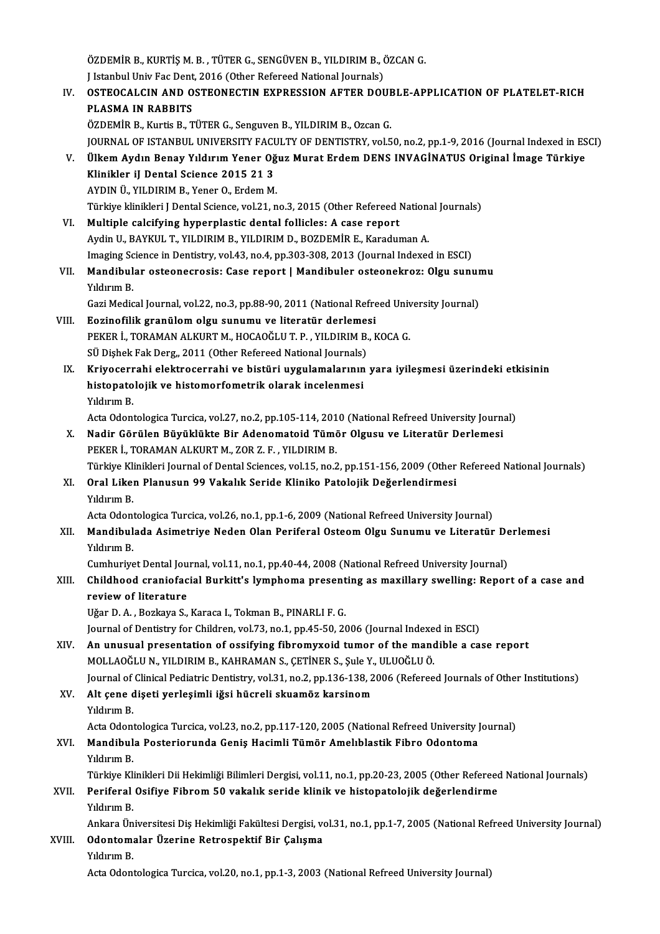ÖZDEMİR B., KURTİŞ M. B. , TÜTER G., SENGÜVEN B., YILDIRIM B., ÖZCAN G.<br>Hatapbul Univ Fas Dapt. 2016 (Othar Bafaraad National Iournale) ÖZDEMİR B., KURTİŞ M. B. , TÜTER G., SENGÜVEN B., YILDIRIM B., (<br>J Istanbul Univ Fac Dent, 2016 (Other Refereed National Journals)<br>OSTEOCAL CIN AND OSTEONECTIN EXPRESSION AETER DOL ÖZDEMİR B., KURTİŞ M. B. , TÜTER G., SENGÜVEN B., YILDIRIM B., ÖZCAN G.<br>J Istanbul Univ Fac Dent, 2016 (Other Refereed National Journals)<br>IV. OSTEOCALCIN AND OSTEONECTIN EXPRESSION AFTER DOUBLE-APPLICATION OF PLATELET-J Istanbul Univ Fac Dent, 2016 (Other Refereed National Journals)<br>OSTEOCALCIN AND OSTEONECTIN EXPRESSION AFTER DOUE<br>PLASMA IN RABBITS<br>ÖZDEMİR B., Kurtis B., TÜTER G., Senguven B., YILDIRIM B., Ozcan G. OSTEOCALCIN AND OSTEONECTIN EXPRESSION AFTER DOUE<br>PLASMA IN RABBITS<br>ÖZDEMİR B., Kurtis B., TÜTER G., Senguven B., YILDIRIM B., Ozcan G.<br>JOUPMAL OE ISTANBUL UNIVERSITY FACULTY OE DENTISTRY VALE PLASMA IN RABBITS<br>ÖZDEMİR B., Kurtis B., TÜTER G., Senguven B., YILDIRIM B., Ozcan G.<br>JOURNAL OF ISTANBUL UNIVERSITY FACULTY OF DENTISTRY, vol.50, no.2, pp.1-9, 2016 (Journal Indexed in ESCI)<br>Ülkom Aydın Benay Yıldırım Yan ÖZDEMİR B., Kurtis B., TÜTER G., Senguven B., YILDIRIM B., Ozcan G.<br>JOURNAL OF ISTANBUL UNIVERSITY FACULTY OF DENTISTRY, vol.50, no.2, pp.1-9, 2016 (Journal Indexed in ES<br>V. Ülkem Aydın Benay Yıldırım Yener Oğuz Murat Erde **JOURNAL OF ISTANBUL UNIVERSITY FACT**<br>Ülkem Aydın Benay Yıldırım Yener Oğ<br>Klinikler iJ Dental Science 2015 21 3<br>AYDIN Ü, YU DIBIM B. Yener O. Erdem M V. Ülkem Aydın Benay Yıldırım Yener Oğuz Murat Erdem DENS INVAGİNATUS Original İmage Türkiye<br>Klinikler iJ Dental Science 2015 21 3<br>AYDIN Ü., YILDIRIM B., Yener O., Erdem M. Klinikler iJ Dental Science 2015 21 3<br>AYDIN Ü., YILDIRIM B., Yener O., Erdem M.<br>Türkiye klinikleri J Dental Science, vol.21, no.3, 2015 (Other Refereed National Journals)<br>Multiple salsifying hynomlastis dantal follislas: A AYDIN Ü., YILDIRIM B., Yener O., Erdem M.<br>Türkiye klinikleri J Dental Science, vol.21, no.3, 2015 (Other Refereed J<br>VI. Multiple calcifying hyperplastic dental follicles: A case report<br>Avdin H. BAYVIII. T. VII DIBIM B. VII Türkiye klinikleri J Dental Science, vol.21, no.3, 2015 (Other Refereed Nation:<br>Multiple calcifying hyperplastic dental follicles: A case report<br>Aydin U., BAYKUL T., YILDIRIM B., YILDIRIM D., BOZDEMİR E., Karaduman A.<br>Imag VI. Multiple calcifying hyperplastic dental follicles: A case report<br>Aydin U., BAYKUL T., YILDIRIM B., YILDIRIM D., BOZDEMİR E., Karaduman A.<br>Imaging Science in Dentistry, vol.43, no.4, pp.303-308, 2013 (Journal Indexed in Aydin U., BAYKUL T., YILDIRIM B., YILDIRIM D., BOZDEMİR E., Karaduman A.<br>Imaging Science in Dentistry, vol.43, no.4, pp.303-308, 2013 (Journal Indexed in ESCI)<br>VII. Mandibular osteonecrosis: Case report | Mandibuler osteon Imaging Sc<br>**Mandibul**<br>Yıldırım B.<br>*Cari* Madia Mandibular osteonecrosis: Case report | Mandibuler osteonekroz: Olgu sunur<br>Yıldırım B.<br>Gazi Medical Journal, vol.22, no.3, pp.88-90, 2011 (National Refreed University Journal)<br>Fozinefilik granülem elgu sunumu ve literatür Yıldırım B.<br>Gazi Medical Journal, vol.22, no.3, pp.88-90, 2011 (National Refreed Univ<br>VIII. Eozinofilik granülom olgu sunumu ve literatür derlemesi<br>PEKER İ., TORAMAN ALKURT M., HOCAOĞLU T. P. , YILDIRIM B., KOCA G. Gazi Medical Journal, vol.22, no.3, pp.88-90, 2011 (National Refreed University Journal) Eozinofilik granülom olgu sunumu ve literatür derleme:<br>PEKER İ., TORAMAN ALKURT M., HOCAOĞLU T. P. , YILDIRIM B.<br>SÜ Dişhek Fak Derg., 2011 (Other Refereed National Journals)<br>Krive serrebi olektreserrebi ve bistüri uygulama PEKER İ., TORAMAN ALKURT M., HOCAOĞLU T. P. , YILDIRIM B., KOCA G.<br>SÜ Dişhek Fak Derg., 2011 (Other Refereed National Journals)<br>IX. Kriyocerrahi elektrocerrahi ve bistüri uygulamalarının yara iyileşmesi üzerindeki etkisini SÜ Dişhek Fak Derg" 2011 (Other Refereed National Journals)<br>Kriyocerrahi elektrocerrahi ve bistüri uygulamalarının<br>histopatolojik ve histomorfometrik olarak incelenmesi<br>Vilduum P Kriyocerr<br>histopato<br>Yıldırım B.<br>Acta Odarı histopatolojik ve histomorfometrik olarak incelenmesi<br>Yıldırım B.<br>Acta Odontologica Turcica, vol.27, no.2, pp.105-114, 2010 (National Refreed University Journal)<br>Nadir Görülen Büyüklükte Bir Adenemateid Tümör Olayey ve Lit Yıldırım B.<br>Acta Odontologica Turcica, vol.27, no.2, pp.105-114, 2010 (National Refreed University Journa<br>X. Nadir Görülen Büyüklükte Bir Adenomatoid Tümör Olgusu ve Literatür Derlemesi<br>PEKER İ., TORAMAN ALKURT M., ZOR Z. Acta Odontologica Turcica, vol.27, no.2, pp.105-114, 201<br>Nadir Görülen Büyüklükte Bir Adenomatoid Tümö<br>PEKER İ., TORAMAN ALKURT M., ZOR Z. F. , YILDIRIM B.<br>Türkiye Klinikleri Journal of Dontal Sciences vol.15, no.2 Nadir Görülen Büyüklükte Bir Adenomatoid Tümör Olgusu ve Literatür Derlemesi<br>PEKER İ., TORAMAN ALKURT M., ZOR Z. F. , YILDIRIM B.<br>Türkiye Klinikleri Journal of Dental Sciences, vol.15, no.2, pp.151-156, 2009 (Other Referee XI. Oral Liken Planusun 99 Vakalık Seride Kliniko Patolojik Değerlendirmesi Türkiye Kli<br>**Oral Like**<br>Yıldırım B.<br>Asta Odanı Oral Liken Planusun 99 Vakalık Seride Kliniko Patolojik Değerlendirmesi<br>Yıldırım B.<br>Acta Odontologica Turcica, vol.26, no.1, pp.1-6, 2009 (National Refreed University Journal)<br>Mandibulada Asimetriya Nadan Olan Barifaral Os XII. Mandibulada Asimetriye Neden Olan Periferal Osteom Olgu Sunumu ve Literatür Derlemesi<br>Yıldırım B. Acta Odoni<br>**Mandibul**<br>Yıldırım B.<br>Cumburiye Mandibulada Asimetriye Neden Olan Periferal Osteom Olgu Sunumu ve Literatür De<br>Yıldırım B.<br>Cumhuriyet Dental Journal, vol.11, no.1, pp.40-44, 2008 (National Refreed University Journal)<br>Childhood ereniofesial Burkitt's Jumn XIII. Childhood craniofacial Burkitt's lymphoma presenting as maxillary swelling: Report of a case and review of literature Cumhuriyet Dental Jou<br>Childhood craniofac<br>review of literature<br><sup>Hžan D.A., Borkaya S</sup> Uğar D. A., Bozkaya S., Karaca I., Tokman B., PINARLI F. G. Journal of Dentistry for Children, vol.73, no.1, pp.45-50, 2006 (Journal Indexed in ESCI) XIV. An unusual presentation of ossifying fibromyxoid tumor of themandible a case report Journal of Dentistry for Children, vol.73, no.1, pp.45-50, 2006 (Journal Indexe<br>An unusual presentation of ossifying fibromyxoid tumor of the mand<br>MOLLAOĞLU N., YILDIRIM B., KAHRAMAN S., ÇETİNER S., Şule Y., ULUOĞLU Ö.<br>Jou An unusual presentation of ossifying fibromyxoid tumor of the mandible a case report<br>MOLLAOĞLU N., YILDIRIM B., KAHRAMAN S., ÇETİNER S., Şule Y., ULUOĞLU Ö.<br>Journal of Clinical Pediatric Dentistry, vol.31, no.2, pp.136-138 MOLLAOĞLU N., YILDIRIM B., KAHRAMAN S., ÇETİNER S., Şule Y.,<br>Journal of Clinical Pediatric Dentistry, vol.31, no.2, pp.136-138, 2<br>XV. Alt çene dişeti yerleşimli iğsi hücreli skuamöz karsinom<br>Vidirim B. Journal of<br>Alt çene d<br>Yıldırım B.<br>Acta Odarı Alt çene dişeti yerleşimli iğsi hücreli skuamöz karsinom<br>Yıldırım B.<br>Acta Odontologica Turcica, vol.23, no.2, pp.117-120, 2005 (National Refreed University Journal)<br>Mandibula Bostariarunda Ganis Hasimli Tümör Amalıblastik Yıldırım B.<br>Acta Odontologica Turcica, vol.23, no.2, pp.117-120, 2005 (National Refreed University J<br>XVI. Mandibula Posteriorunda Geniş Hacimli Tümör Amelıblastik Fibro Odontoma<br>Xıldırım B Acta Odoni<br><mark>Mandibul</mark><br>Yıldırım B.<br>Türkiye Kl Mandibula Posteriorunda Geniş Hacimli Tümör Amelıblastik Fibro Odontoma<br>Yıldırım B.<br>Türkiye Klinikleri Dii Hekimliği Bilimleri Dergisi, vol.11, no.1, pp.20-23, 2005 (Other Refereed National Journals)<br>Perifonal Osifiye Eibr Yıldırım B.<br>Türkiye Klinikleri Dii Hekimliği Bilimleri Dergisi, vol.11, no.1, pp.20-23, 2005 (Other Referee<br>XVII. Periferal Osifiye Fibrom 50 vakalık seride klinik ve histopatolojik değerlendirme<br>Yıldırım B. Türkiye Kli<br>Periferal<br>Yıldırım B.<br>Ankana Ün Periferal Osifiye Fibrom 50 vakalık seride klinik ve histopatolojik değerlendirme<br>Yıldırım B.<br>Ankara Üniversitesi Diş Hekimliği Fakültesi Dergisi, vol.31, no.1, pp.1-7, 2005 (National Refreed University Journal)<br>Odentemala XVIII. Odontomalar Üzerine Retrospektif Bir Çalışma<br>Yıldırım B. Ankara Ün<br>**Odontom:**<br>Yıldırım B.<br>Asta Odon: Acta Odontologica Turcica, vol.20, no.1, pp.1-3, 2003 (National Refreed University Journal)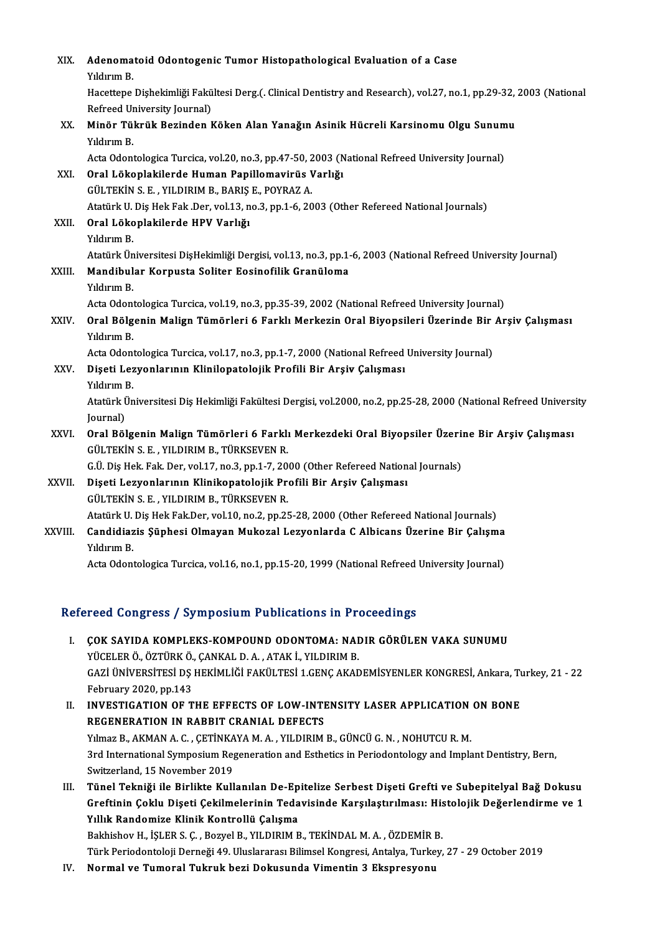| XIX.   | Adenomatoid Odontogenic Tumor Histopathological Evaluation of a Case                                                               |
|--------|------------------------------------------------------------------------------------------------------------------------------------|
|        | Yıldırım B                                                                                                                         |
|        | Hacettepe Dishekimliği Fakültesi Derg.(. Clinical Dentistry and Research), vol.27, no.1, pp.29-32, 2003 (National                  |
|        | Refreed University Journal)                                                                                                        |
| XX.    | Minör Tükrük Bezinden Köken Alan Yanağın Asinik Hücreli Karsinomu Olgu Sunumu                                                      |
|        | Yıldırım B.                                                                                                                        |
|        | Acta Odontologica Turcica, vol.20, no.3, pp.47-50, 2003 (National Refreed University Journal)                                      |
| XXI.   | Oral Lökoplakilerde Human Papillomavirüs Varlığı                                                                                   |
|        | GÜLTEKİN S. E., YILDIRIM B., BARIŞ E., POYRAZ A.                                                                                   |
|        | Atatürk U. Diş Hek Fak .Der, vol.13, no.3, pp.1-6, 2003 (Other Refereed National Journals)                                         |
| XXII.  | Oral Lökoplakilerde HPV Varlığı                                                                                                    |
|        | Yıldırım B.                                                                                                                        |
|        | Atatürk Üniversitesi DişHekimliği Dergisi, vol.13, no.3, pp.1-6, 2003 (National Refreed University Journal)                        |
| XXIII. | Mandibular Korpusta Soliter Eosinofilik Granüloma                                                                                  |
|        | Yıldırım B.                                                                                                                        |
|        | Acta Odontologica Turcica, vol.19, no.3, pp.35-39, 2002 (National Refreed University Journal)                                      |
| XXIV.  | Oral Bölgenin Malign Tümörleri 6 Farklı Merkezin Oral Biyopsileri Üzerinde Bir Arşiv Çalışması                                     |
|        | Yıldırım B.                                                                                                                        |
|        | Acta Odontologica Turcica, vol.17, no.3, pp.1-7, 2000 (National Refreed University Journal)                                        |
| XXV.   | Dişeti Lezyonlarının Klinilopatolojik Profili Bir Arşiv Çalışması                                                                  |
|        | Yıldırım B.                                                                                                                        |
|        | Atatürk Üniversitesi Diş Hekimliği Fakültesi Dergisi, vol.2000, no.2, pp.25-28, 2000 (National Refreed University                  |
|        | Journal)                                                                                                                           |
| XXVI.  | Oral Bölgenin Malign Tümörleri 6 Farklı Merkezdeki Oral Biyopsiler Üzerine Bir Arşiv Çalışması                                     |
|        | GÜLTEKİN S. E., YILDIRIM B., TÜRKSEVEN R.<br>G.Ü. Diş Hek. Fak. Der, vol.17, no.3, pp.1-7, 2000 (Other Refereed National Journals) |
| XXVII. | Dişeti Lezyonlarının Klinikopatolojik Profili Bir Arşiv Çalışması                                                                  |
|        | GÜLTEKİN S. E., YILDIRIM B., TÜRKSEVEN R.                                                                                          |
|        | Atatürk U. Diş Hek Fak.Der, vol.10, no.2, pp.25-28, 2000 (Other Refereed National Journals)                                        |
| XXVIII | Candidiazis Şüphesi Olmayan Mukozal Lezyonlarda C Albicans Üzerine Bir Çalışma                                                     |
|        | Yıldırım B.                                                                                                                        |
|        | Acta Odontologica Turcica, vol.16, no.1, pp.15-20, 1999 (National Refreed University Journal)                                      |
|        |                                                                                                                                    |

## Refereed Congress / Symposium Publications in Proceedings

efereed Congress / Symposium Publications in Proceedings<br>I. COK SAYIDA KOMPLEKS-KOMPOUND ODONTOMA: NADIR GÖRÜLEN VAKA SUNUMU YÖCELERÖ, ÖZTÜRKÖ.<br>**COK SAYIDA KOMPLEKS-KOMPOUND ODONTOMA: NAI**<br>YÜCELER Ö., ÖZTÜRK Ö., ÇANKAL D. A., ATAK İ., YILDIRIM B.<br>CAZİ ÜNİVERSİTESİ DS HEVİMI İĞI EAVÜLTESİ 1 CENC AVAL ÇOK SAYIDA KOMPLEKS-KOMPOUND ODONTOMA: NADIR GÖRÜLEN VAKA SUNUMU<br>YÜCELER Ö., ÖZTÜRK Ö., ÇANKAL D. A. , ATAK İ., YILDIRIM B.<br>GAZİ ÜNİVERSİTESİ DŞ HEKİMLİĞİ FAKÜLTESİ 1.GENÇ AKADEMİSYENLER KONGRESİ, Ankara, Turkey, 21 - 22<br>F YÜCELER Ö., ÖZTÜRK Ö.<br>GAZİ ÜNİVERSİTESİ DŞ<br>February 2020, pp.143<br>INVESTICATION OF T GAZİ ÜNİVERSİTESİ DŞ HEKİMLİĞİ FAKÜLTESİ 1.GENÇ AKADEMİSYENLER KONGRESİ, Ankara, Tu<br>February 2020, pp.143<br>II. INVESTIGATION OF THE EFFECTS OF LOW-INTENSITY LASER APPLICATION ON BONE<br>RECENERATION IN BARRIT CRANIAL DEFECTS

February 2020, pp.143<br>INVESTIGATION OF THE EFFECTS OF LOW-INTI<br>REGENERATION IN RABBIT CRANIAL DEFECTS<br>Vilnas B. AKMAN A. G. CETINKAVA M. A. VILDIBIM INVESTIGATION OF THE EFFECTS OF LOW-INTENSITY LASER APPLICATION<br>REGENERATION IN RABBIT CRANIAL DEFECTS<br>Yılmaz B., AKMAN A. C. , ÇETİNKAYA M. A. , YILDIRIM B., GÜNCÜ G. N. , NOHUTCU R. M.<br><sup>2</sup>rd International Sumnasium Begen REGENERATION IN RABBIT CRANIAL DEFECTS<br>Yılmaz B., AKMAN A. C. , ÇETİNKAYA M. A. , YILDIRIM B., GÜNCÜ G. N. , NOHUTCU R. M.<br>3rd International Symposium Regeneration and Esthetics in Periodontology and Implant Dentistry, Ber Yılmaz B., AKMAN A. C. , ÇETİNKA<br>3rd International Symposium Reg<br>Switzerland, 15 November 2019<br>Tünel Telmiği ile Birlikte Kull 3rd International Symposium Regeneration and Esthetics in Periodontology and Implant Dentistry, Bern,<br>Switzerland, 15 November 2019<br>III. Tünel Tekniği ile Birlikte Kullanılan De-Epitelize Serbest Dişeti Grefti ve Subepitel

Switzerland, 15 November 2019<br>Tünel Tekniği ile Birlikte Kullanılan De-Epitelize Serbest Dişeti Grefti ve Subepitelyal Bağ Dokusu<br>Greftinin Çoklu Dişeti Çekilmelerinin Tedavisinde Karşılaştırılması: Histolojik Değerlendirm Yıllık Randomize Klinik Kontrollü Çalışma Greftinin Çoklu Dişeti Çekilmelerinin Tedavisinde Karşılaştırılması: His<br>Yıllık Randomize Klinik Kontrollü Çalışma<br>Bakhishov H., İŞLER S. Ç. , Bozyel B., YILDIRIM B., TEKİNDAL M. A. , ÖZDEMİR B.<br>Türk Periodenteleji Derneği

Türk Periodontoloji Derneği 49. Uluslararası Bilimsel Kongresi, Antalya, Turkey, 27 - 29 October 2019<br>IV. Normal ve Tumoral Tukruk bezi Dokusunda Vimentin 3 Ekspresyonu

Bakhishov H., İŞLER S. Ç. , Bozyel B., YILDIRIM B., TEKİNDAL M. A. , ÖZDEMİR I<br>Türk Periodontoloji Derneği 49. Uluslararası Bilimsel Kongresi, Antalya, Turke<br>IV. Normal ve Tumoral Tukruk bezi Dokusunda Vimentin 3 Ekspr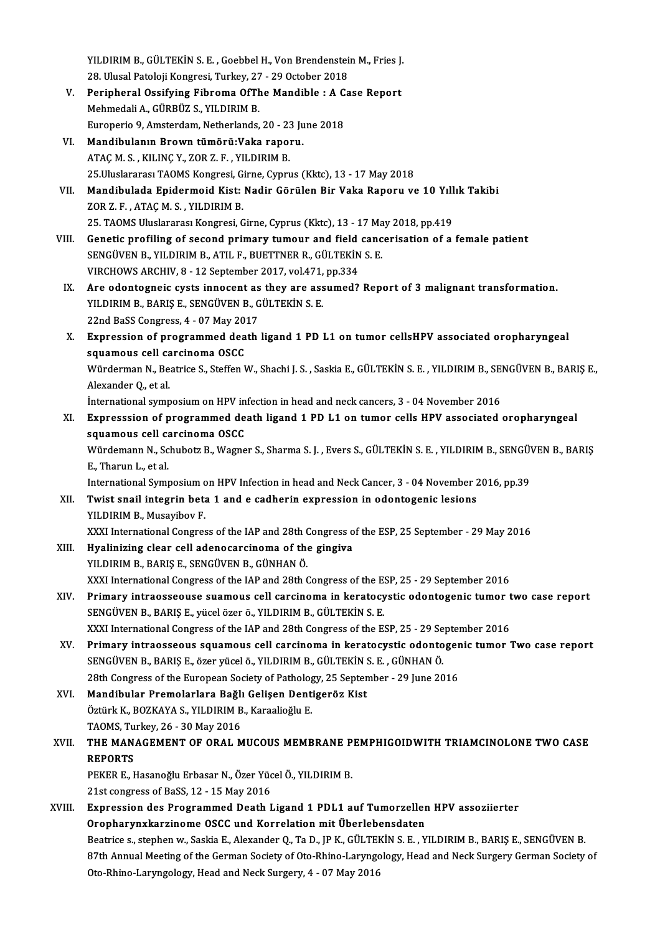YILDIRIM B., GÜLTEKİN S. E. , Goebbel H., Von Brendenstein M., Fries J.<br>28. Ulysel Bateleji Kongresi, Tyrkey, 27., 29. Osteber 2019. 20 YILDIRIM B., GÜLTEKİN S. E. , Goebbel H., Von Brendenstei<br>28. Ulusal Patoloji Kongresi, Turkey, 27 - 29 October 2018<br>Perinharal Qasifying Eihneme Of The Mandible : A Ca YILDIRIM B., GÜLTEKİN S. E. , Goebbel H., Von Brendenstein M., Fries J.<br>28. Ulusal Patoloji Kongresi, Turkey, 27 - 29 October 2018<br>V. Peripheral Ossifying Fibroma OfThe Mandible : A Case Report<br>Mehmedali A. Cüppüz S. VII D

- 28. Ulusal Patoloji Kongresi, Turkey, 27 29 October 2018<br>Peripheral Ossifying Fibroma OfThe Mandible : A C:<br>Mehmedali A., GÜRBÜZ S., YILDIRIM B.<br>Europerio 9, Amsterdam, Netherlands, 20 23 June 2018 V. Peripheral Ossifying Fibroma Of The Mandible: A Case Report
- VI. Mandibulanın Brown tümörü:Vaka raporu. ATAÇM.S. ,KILINÇY.,ZORZ.F. ,YILDIRIMB. 25.UluslararasıTAOMSKongresi,Girne,Cyprus (Kktc),13 -17May2018 ATAÇ M. S., KILINÇ Y., ZOR Z. F., YILDIRIM B.<br>25.Uluslararası TAOMS Kongresi, Girne, Cyprus (Kktc), 13 - 17 May 2018<br>VII. Mandibulada Epidermoid Kist: Nadir Görülen Bir Vaka Raporu ve 10 Yıllık Takibi<br>70P 7 E ATAC M
- 25.Uluslararası TAOMS Kongresi, G.<br>Mandibulada Epidermoid Kist:<br>ZOR Z. F. , ATAÇ M. S. , YILDIRIM B.<br>25. TAOMS Uluslararası Kongresi, C Mandibulada Epidermoid Kist: Nadir Görülen Bir Vaka Raporu ve 10 Yıll<br>ZOR Z.F., ATAÇ M.S., YILDIRIM B.<br>25. TAOMS Uluslararası Kongresi, Girne, Cyprus (Kktc), 13 - 17 May 2018, pp.419<br>Constis profiling of sessord primary tu VI 2008 Z. F. , ATAÇ M. S. , YILDIRIM B.<br>25. TAOMS Uluslararası Kongresi, Girne, Cyprus (Kktc), 13 - 17 May 2018, pp.419<br>11. Genetic profiling of second primary tumour and field cancerisation of a female patient
- SENGÜVENB.,YILDIRIMB.,ATIL F.,BUETTNERR.,GÜLTEKİNS.E. Genetic profiling of second primary tumour and field<br>SENGÜVEN B., YILDIRIM B., ATIL F., BUETTNER R., GÜLTEKİN<br>VIRCHOWS ARCHIV, 8 - 12 September 2017, vol.471, pp.334<br>Are adentegneis quots innocent as they are assumed? SENGÜVEN B., YILDIRIM B., ATIL F., BUETTNER R., GÜLTEKİN S. E.<br>VIRCHOWS ARCHIV, 8 - 12 September 2017, vol.471, pp.334<br>IX. Are odontogneic cysts innocent as they are assumed? Report of 3 malignant transformation.<br>VILDI
- VIRCHOWS ARCHIV, 8 12 September 2017, vol.471,<br>Are odontogneic cysts innocent as they are ass<br>YILDIRIM B., BARIŞ E., SENGÜVEN B., GÜLTEKİN S. E. Are odontogneic cysts innocent as<br>YILDIRIM B., BARIŞ E., SENGÜVEN B., G<br>22nd BaSS Congress, 4 - 07 May 2017<br>Eunnessien of prestemmed desth 22nd BaSS Congress, 4 - 07 May 2017
- YILDIRIM B., BARIŞ E., SENGÜVEN B., GÜLTEKİN S. E.<br>22nd BaSS Congress, 4 07 May 2017<br>X. Expression of programmed death ligand 1 PD L1 on tumor cellsHPV associated oropharyngeal<br>squamous cell carcinoma OSCC Expression of programmed death ligand 1 PD L1 on tumor cellsHPV associated oropharyngeal<br>squamous cell carcinoma OSCC<br>Würderman N., Beatrice S., Steffen W., Shachi J. S. , Saskia E., GÜLTEKİN S. E. , YILDIRIM B., SENGÜVEN

<mark>squamous cell ca</mark><br>Würderman N., Be.<br>Alexander Q., et al.<br>International cumn Würderman N., Beatrice S., Steffen W., Shachi J. S. , Saskia E., GÜLTEKİN S. E. , YILDIRIM B., SEI<br>Alexander Q., et al.<br>International symposium on HPV infection in head and neck cancers, 3 - 04 November 2016<br>Expressesion o

Alexander Q., et al.<br>1. International symposium on HPV infection in head and neck cancers, 3 - 04 November 2016<br>2. Expresssion of programmed death ligand 1 PD L1 on tumor cells HPV associated oropharyngeal<br>2. Sauamous cell International symposium on HPV in<br>Expresssion of programmed de<br>squamous cell carcinoma OSCC<br>Wärdemann N. Schubetz B. Wagne Expresssion of programmed death ligand 1 PD L1 on tumor cells HPV associated oropharyngeal<br>squamous cell carcinoma OSCC<br>Würdemann N., Schubotz B., Wagner S., Sharma S. J. , Evers S., GÜLTEKİN S. E. , YILDIRIM B., SENGÜVEN

<mark>squamous cell c</mark>a<br>Würdemann N., Sc<br>E., Tharun L., et al.<br>International Symi Würdemann N., Schubotz B., Wagner S., Sharma S. J. , Evers S., GÜLTEKİN S. E. , YILDIRIM B., SENGÜN<br>E., Tharun L., et al.<br>International Symposium on HPV Infection in head and Neck Cancer, 3 - 04 November 2016, pp.39<br>Twist

E., Tharun L., et al.<br>International Symposium on HPV Infection in head and Neck Cancer, 3 - 04 November 2016, pp.39<br>XII. Twist snail integrin beta 1 and e cadherin expression in odontogenic lesions

## YILDIRIM B., Musayibov F. Twist snail integrin beta 1 and e cadherin expression in odontogenic lesions<br>YILDIRIM B., Musayibov F.<br>XXXI International Congress of the IAP and 28th Congress of the ESP, 25 September - 29 May 2016<br>Hyaliniging clear cell

- YILDIRIM B., Musayibov F.<br>XXXI International Congress of the IAP and 28th Congress of<br>XIII. Hyalinizing clear cell adenocarcinoma of the gingiva<br>XII. Hyalinizing clear cell adenocarcinoma of the gingiva Hyalinizing clear cell adenocarcinoma of the gingiva<br>YILDIRIM B., BARIŞ E., SENGÜVEN B., GÜNHAN Ö. XXXI InternationalCongress of the IAPand 28thCongress of theESP,25 -29 September 2016 YILDIRIM B., BARIŞ E., SENGÜVEN B., GÜNHAN Ö.<br>XXXI International Congress of the IAP and 28th Congress of the ESP, 25 - 29 September 2016<br>XIV. Primary intraosseouse suamous cell carcinoma in keratocystic odontogenic tu
- XXXI International Congress of the IAP and 28th Congress of the E:<br>Primary intraosseouse suamous cell carcinoma in keratocy<br>SENGÜVEN B., BARIŞ E., yücel özer ö., YILDIRIM B., GÜLTEKİN S. E.<br>YYYI International Congress of t Primary intraosseouse suamous cell carcinoma in keratocystic odontogenic tumor t<br>SENGÜVEN B., BARIŞ E., yücel özer ö., YILDIRIM B., GÜLTEKİN S. E.<br>XXXI International Congress of the IAP and 28th Congress of the ESP, 25 - 2 SENGÜVEN B., BARIŞ E., yücel özer ö., YILDIRIM B., GÜLTEKİN S. E.<br>XXXI International Congress of the IAP and 28th Congress of the ESP, 25 - 29 September 2016<br>XV. Primary intraosseous squamous cell carcinoma in keratocy
- XXXI International Congress of the IAP and 28th Congress of the ESP, 25 29 Se<br>Primary intraosseous squamous cell carcinoma in keratocystic odonto<br>SENGÜVEN B., BARIŞ E., özer yücel ö., YILDIRIM B., GÜLTEKİN S. E. , GÜNHAN Primary intraosseous squamous cell carcinoma in keratocystic odontoger<br>SENGÜVEN B., BARIŞ E., özer yücel ö., YILDIRIM B., GÜLTEKİN S. E. , GÜNHAN Ö.<br>28th Congress of the European Society of Pathology, 25 September - 29 Jun SENGÜVEN B., BARIŞ E., özer yücel ö., YILDIRIM B., GÜLTEKİN ?<br>28th Congress of the European Society of Pathology, 25 Septen<br>XVI. Mandibular Premolarlara Bağlı Gelişen Dentigeröz Kist<br>Örtürk K. BOZKAVA S. YU DIBIM B. Karasl
- 28th Congress of the European Society of Patholog<br>Mandibular Premolarlara Bağlı Gelişen Dent<br>Öztürk K., BOZKAYA S., YILDIRIM B., Karaalioğlu E.<br>TAOMS Turkey 26, 20 Mey 2016 Mandibular Premolarlara Bağlı<br>Öztürk K., BOZKAYA S., YILDIRIM B<br>TAOMS, Turkey, 26 - 30 May 2016<br>THE MANACEMENT OF OPAL M

## Öztürk K., BOZKAYA S., YILDIRIM B., Karaalioğlu E.<br>TAOMS, Turkey, 26 - 30 May 2016<br>XVII. THE MANAGEMENT OF ORAL MUCOUS MEMBRANE PEMPHIGOIDWITH TRIAMCINOLONE TWO CASE<br>REPORTS TAOMS, Turkey, 26 - 30 May 2016<br>THE MANAGEMENT OF ORAL N<br>REPORTS THE MANAGEMENT OF ORAL MUCOUS MEMBRANE P<br>REPORTS<br>PEKER E., Hasanoğlu Erbasar N., Özer Yücel Ö., YILDIRIM B.<br>21st sangyaga of BaSS 12 - 15 May 2016

PEKER E., Hasanoğlu Erbasar N., Özer Yücel Ö., YILDIRIM B.<br>21st congress of BaSS, 12 - 15 May 2016

## PEKER E., Hasanoğlu Erbasar N., Özer Yücel Ö., YILDIRIM B.<br>21st congress of BaSS, 12 - 15 May 2016<br>XVIII. Expression des Programmed Death Ligand 1 PDL1 auf Tumorzellen HPV assoziierter 21st congress of BaSS, 12 - 15 May 2016<br>Expression des Programmed Death Ligand 1 PDL1 auf Tumorzeller<br>Oropharynxkarzinome OSCC und Korrelation mit Überlebensdaten<br>Beatrice e. stapben w. Seekie E. Alevander O. Te D. IB K. C Oropharynxkarzinome OSCC und Korrelation mit Überlebensdaten<br>Beatrice s., stephen w., Saskia E., Alexander Q., Ta D., JP K., GÜLTEKİN S. E. , YILDIRIM B., BARIŞ E., SENGÜVEN B. Oropharynxkarzinome OSCC und Korrelation mit Überlebensdaten<br>Beatrice s., stephen w., Saskia E., Alexander Q., Ta D., JP K., GÜLTEKİN S. E. , YILDIRIM B., BARIŞ E., SENGÜVEN B.<br>87th Annual Meeting of the German Society of Beatrice s., stephen w., Saskia E., Alexander Q., Ta D., JP K., GÜLTEI<br>87th Annual Meeting of the German Society of Oto-Rhino-Laryngc<br>Oto-Rhino-Laryngology, Head and Neck Surgery, 4 - 07 May 2016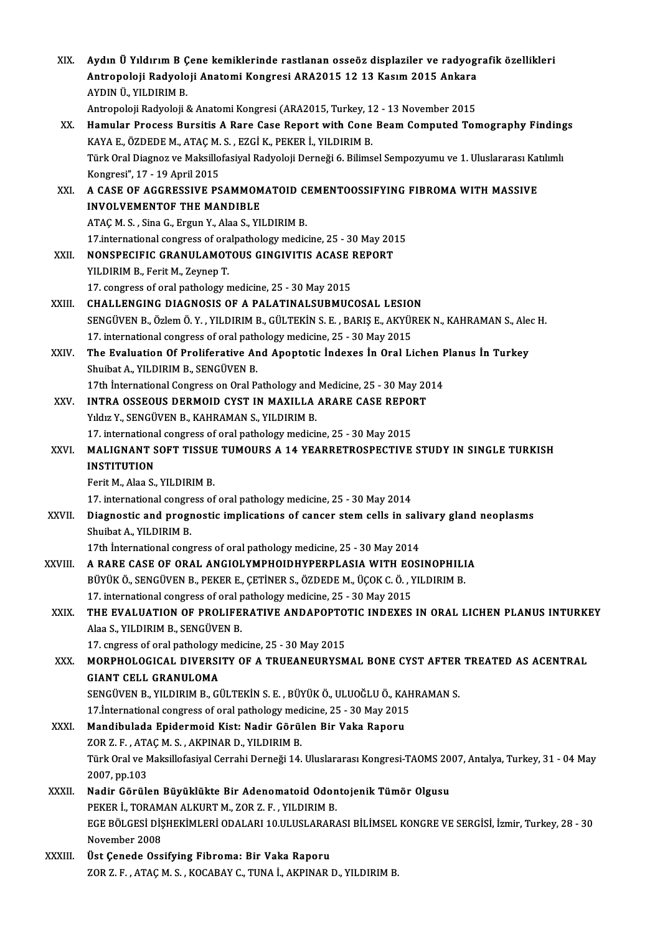| XIX.    | Aydın Ü Yıldırım B Çene kemiklerinde rastlanan osseöz displaziler ve radyografik özellikleri<br>Antropoloji Radyoloji Anatomi Kongresi ARA2015 12 13 Kasım 2015 Ankara<br>AYDIN Ü., YILDIRIM B. |
|---------|-------------------------------------------------------------------------------------------------------------------------------------------------------------------------------------------------|
|         | Antropoloji Radyoloji & Anatomi Kongresi (ARA2015, Turkey, 12 - 13 November 2015                                                                                                                |
| XX.     | Hamular Process Bursitis A Rare Case Report with Cone Beam Computed Tomography Findings                                                                                                         |
|         | KAYA E., ÖZDEDE M., ATAÇ M. S., EZGİ K., PEKER İ., YILDIRIM B.                                                                                                                                  |
|         | Türk Oral Diagnoz ve Maksillofasiyal Radyoloji Derneği 6. Bilimsel Sempozyumu ve 1. Uluslararası Katılımlı                                                                                      |
|         | Kongresi", 17 - 19 April 2015                                                                                                                                                                   |
| XXI.    | A CASE OF AGGRESSIVE PSAMMOMATOID CEMENTOOSSIFYING FIBROMA WITH MASSIVE                                                                                                                         |
|         | <b>INVOLVEMENTOF THE MANDIBLE</b>                                                                                                                                                               |
|         | ATAÇ M. S., Sina G., Ergun Y., Alaa S., YILDIRIM B.                                                                                                                                             |
|         | 17 international congress of oralpathology medicine, 25 - 30 May 2015                                                                                                                           |
| XXII.   | NONSPECIFIC GRANULAMOTOUS GINGIVITIS ACASE REPORT                                                                                                                                               |
|         | YILDIRIM B, Ferit M, Zeynep T.                                                                                                                                                                  |
| XXIII.  | 17. congress of oral pathology medicine, 25 - 30 May 2015                                                                                                                                       |
|         | CHALLENGING DIAGNOSIS OF A PALATINALSUBMUCOSAL LESION                                                                                                                                           |
|         | SENGÜVEN B., Özlem Ö. Y., YILDIRIM B., GÜLTEKİN S. E., BARIŞ E., AKYÜREK N., KAHRAMAN S., Alec H.                                                                                               |
| XXIV.   | 17. international congress of oral pathology medicine, 25 - 30 May 2015<br>The Evaluation Of Proliferative And Apoptotic Indexes In Oral Lichen Planus In Turkey                                |
|         | Shuibat A., YILDIRIM B., SENGÜVEN B.                                                                                                                                                            |
|         | 17th International Congress on Oral Pathology and Medicine, 25 - 30 May 2014                                                                                                                    |
| XXV.    | INTRA OSSEOUS DERMOID CYST IN MAXILLA ARARE CASE REPORT                                                                                                                                         |
|         | Yıldız Y., SENGÜVEN B., KAHRAMAN S., YILDIRIM B.                                                                                                                                                |
|         | 17. international congress of oral pathology medicine, 25 - 30 May 2015                                                                                                                         |
| XXVI.   | MALIGNANT SOFT TISSUE TUMOURS A 14 YEARRETROSPECTIVE STUDY IN SINGLE TURKISH                                                                                                                    |
|         | <b>INSTITUTION</b>                                                                                                                                                                              |
|         | Ferit M., Alaa S., YILDIRIM B.                                                                                                                                                                  |
|         | 17. international congress of oral pathology medicine, 25 - 30 May 2014                                                                                                                         |
| XXVII.  | Diagnostic and prognostic implications of cancer stem cells in salivary gland neoplasms                                                                                                         |
|         | Shuibat A., YILDIRIM B.                                                                                                                                                                         |
|         | 17th International congress of oral pathology medicine, 25 - 30 May 2014                                                                                                                        |
| XXVIII. | A RARE CASE OF ORAL ANGIOLYMPHOIDHYPERPLASIA WITH EOSINOPHILIA                                                                                                                                  |
|         | BÜYÜK Ö., SENGÜVEN B., PEKER E., ÇETİNER S., ÖZDEDE M., ÜÇOK C. Ö., YILDIRIM B.                                                                                                                 |
|         | 17. international congress of oral pathology medicine, 25 - 30 May 2015<br>THE EVALUATION OF PROLIFERATIVE ANDAPOPTOTIC INDEXES IN ORAL LICHEN PLANUS INTURKEY                                  |
| XXIX.   | Alaa S., YILDIRIM B., SENGÜVEN B.                                                                                                                                                               |
|         | 17. cngress of oral pathology medicine, 25 - 30 May 2015                                                                                                                                        |
| XXX.    | MORPHOLOGICAL DIVERSITY OF A TRUEANEURYSMAL BONE CYST AFTER TREATED AS ACENTRAL                                                                                                                 |
|         | <b>GIANT CELL GRANULOMA</b>                                                                                                                                                                     |
|         | SENGÜVEN B., YILDIRIM B., GÜLTEKİN S. E., BÜYÜK Ö., ULUOĞLU Ö., KAHRAMAN S.                                                                                                                     |
|         | 17 International congress of oral pathology medicine, 25 - 30 May 2015                                                                                                                          |
| XXXI.   | Mandibulada Epidermoid Kist: Nadir Görülen Bir Vaka Raporu                                                                                                                                      |
|         | ZOR Z. F., ATAÇ M. S., AKPINAR D., YILDIRIM B.                                                                                                                                                  |
|         | Türk Oral ve Maksillofasiyal Cerrahi Derneği 14. Uluslararası Kongresi-TAOMS 2007, Antalya, Turkey, 31 - 04 May                                                                                 |
|         | 2007, pp.103                                                                                                                                                                                    |
| XXXII.  | Nadir Görülen Büyüklükte Bir Adenomatoid Odontojenik Tümör Olgusu                                                                                                                               |
|         | PEKER İ., TORAMAN ALKURT M., ZOR Z. F., YILDIRIM B.                                                                                                                                             |
|         | EGE BÖLGESİ DİŞHEKİMLERİ ODALARI 10.ULUSLARARASI BİLİMSEL KONGRE VE SERGİSİ, İzmir, Turkey, 28 - 30                                                                                             |
|         | November 2008                                                                                                                                                                                   |
| XXXIII. | Üst Çenede Ossifying Fibroma: Bir Vaka Raporu                                                                                                                                                   |
|         | ZOR Z. F., ATAÇ M. S., KOCABAY C., TUNA İ., AKPINAR D., YILDIRIM B.                                                                                                                             |